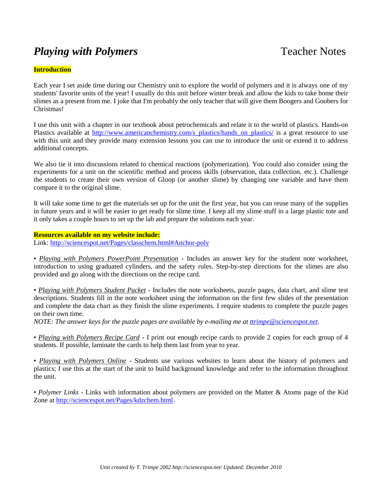# *Playing with Polymers* Teacher Notes

#### **Introduction**

Each year I set aside time during our Chemistry unit to explore the world of polymers and it is always one of my students' favorite units of the year! I usually do this unit before winter break and allow the kids to take home their slimes as a present from me. I joke that I'm probably the only teacher that will give them Boogers and Goobers for Christmas!

I use this unit with a chapter in our textbook about petrochemicals and relate it to the world of plastics. Hands-on Plastics available at [http://www.americanchemistry.com/s\\_plastics/hands\\_on\\_plastics/](http://www.americanchemistry.com/s_plastics/hands_on_plastics/) is a great resource to use with this unit and they provide many extension lessons you can use to introduce the unit or extend it to address additional concepts.

We also tie it into discussions related to chemical reactions (polymerization). You could also consider using the experiments for a unit on the scientific method and process skills (observation, data collection, etc.). Challenge the students to create their own version of Gloop (or another slime) by changing one variable and have them compare it to the original slime.

It will take some time to get the materials set up for the unit the first year, but you can reuse many of the supplies in future years and it will be easier to get ready for slime time. I keep all my slime stuff in a large plastic tote and it only takes a couple hours to set up the lab and prepare the solutions each year.

#### **Resources available on my website include:**

Link: [http://sciencespot.net/Pages/classchem.html#Anchor-poly](http://sciencespot.net/Pages/classchem.html%23Anchor-poly)

• *Playing with Polymers PowerPoint Presentation* - Includes an answer key for the student note worksheet, introduction to using graduated cylinders, and the safety rules. Step-by-step directions for the slimes are also provided and go along with the directions on the recipe card.

• *Playing with Polymers Student Packet* - Includes the note worksheets, puzzle pages, data chart, and slime test descriptions. Students fill in the note worksheet using the information on the first few slides of the presentation and complete the data chart as they finish the slime experiments. I require students to complete the puzzle pages on their own time.

*NOTE: The answer keys for the puzzle pages are available by e-mailing me at [ttrimpe@sciencespot.net.](mailto:ttrimpe@sciencespot.net)*

• *Playing with Polymers Recipe Card* - I print out enough recipe cards to provide 2 copies for each group of 4 students. If possible, laminate the cards to help them last from year to year.

• *Playing with Polymers Online* - Students use various websites to learn about the history of polymers and plastics; I use this at the start of the unit to build background knowledge and refer to the information throughout the unit.

• *Polymer Links* - Links with information about polymers are provided on the Matter & Atoms page of the Kid Zone at [http://sciencespot.net/Pages/kdzchem.html.](http://sciencespot.net/Pages/kdzchem.html)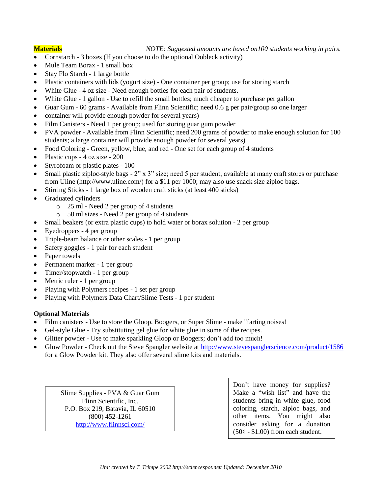**Materials** *NOTE: Suggested amounts are based on100 students working in pairs.*

- Cornstarch 3 boxes (If you choose to do the optional Oobleck activity)
- Mule Team Borax 1 small box
- Stay Flo Starch 1 large bottle
- Plastic containers with lids (yogurt size) One container per group; use for storing starch
- White Glue 4 oz size Need enough bottles for each pair of students.
- White Glue 1 gallon Use to refill the small bottles; much cheaper to purchase per gallon
- Guar Gum 60 grams Available from Flinn Scientific; need 0.6 g per pair/group so one larger
- container will provide enough powder for several years)
- Film Canisters Need 1 per group; used for storing guar gum powder
- PVA powder Available from Flinn Scientific; need 200 grams of powder to make enough solution for 100 students; a large container will provide enough powder for several years)
- Food Coloring Green, yellow, blue, and red One set for each group of 4 students
- Plastic cups 4 oz size 200
- Styrofoam or plastic plates 100
- Small plastic ziploc-style bags  $-2$ " x 3" size; need 5 per student; available at many craft stores or purchase from Uline (http://www.uline.com/) for a \$11 per 1000; may also use snack size ziploc bags.
- Stirring Sticks 1 large box of wooden craft sticks (at least 400 sticks)
- Graduated cylinders
	- o 25 ml Need 2 per group of 4 students
	- o 50 ml sizes Need 2 per group of 4 students
- Small beakers (or extra plastic cups) to hold water or borax solution 2 per group
- Eyedroppers 4 per group
- Triple-beam balance or other scales 1 per group
- Safety goggles 1 pair for each student
- Paper towels
- Permanent marker 1 per group
- Timer/stopwatch 1 per group
- Metric ruler 1 per group
- Playing with Polymers recipes 1 set per group
- Playing with Polymers Data Chart/Slime Tests 1 per student

## **Optional Materials**

- Film canisters Use to store the Gloop, Boogers, or Super Slime make "farting noises!
- Gel-style Glue Try substituting gel glue for white glue in some of the recipes.
- Glitter powder Use to make sparkling Gloop or Boogers; don't add too much!
- Glow Powder Check out the Steve Spangler website at<http://www.stevespanglerscience.com/product/1586> for a Glow Powder kit. They also offer several slime kits and materials.

Slime Supplies - PVA & Guar Gum Flinn Scientific, Inc. P.O. Box 219, Batavia, IL 60510 (800) 452-1261 <http://www.flinnsci.com/>

Don't have money for supplies? Make a "wish list" and have the students bring in white glue, food coloring, starch, ziploc bags, and other items. You might also consider asking for a donation  $(50¢ - $1.00)$  from each student.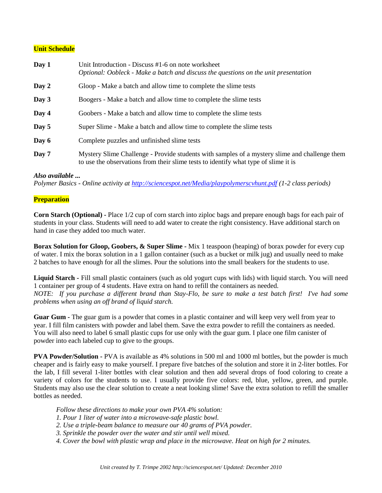### **Unit Schedule**

| Day 1 | Unit Introduction - Discuss #1-6 on note worksheet<br>Optional: Oobleck - Make a batch and discuss the questions on the unit presentation                                            |
|-------|--------------------------------------------------------------------------------------------------------------------------------------------------------------------------------------|
| Day 2 | Gloop - Make a batch and allow time to complete the slime tests                                                                                                                      |
| Day 3 | Boogers - Make a batch and allow time to complete the slime tests                                                                                                                    |
| Day 4 | Goobers - Make a batch and allow time to complete the slime tests                                                                                                                    |
| Day 5 | Super Slime - Make a batch and allow time to complete the slime tests                                                                                                                |
| Day 6 | Complete puzzles and unfinished slime tests                                                                                                                                          |
| Day 7 | Mystery Slime Challenge - Provide students with samples of a mystery slime and challenge them<br>to use the observations from their slime tests to identify what type of slime it is |

#### *Also available ...*

*Polymer Basics - Online activity at<http://sciencespot.net/Media/playpolymerscvhunt.pdf> (1-2 class periods)*

#### **Preparation**

**Corn Starch (Optional) -** Place 1/2 cup of corn starch into ziploc bags and prepare enough bags for each pair of students in your class. Students will need to add water to create the right consistency. Have additional starch on hand in case they added too much water.

**Borax Solution for Gloop, Goobers, & Super Slime -** Mix 1 teaspoon (heaping) of borax powder for every cup of water. I mix the borax solution in a 1 gallon container (such as a bucket or milk jug) and usually need to make 2 batches to have enough for all the slimes. Pour the solutions into the small beakers for the students to use.

**Liquid Starch -** Fill small plastic containers (such as old yogurt cups with lids) with liquid starch. You will need 1 container per group of 4 students. Have extra on hand to refill the containers as needed. *NOTE: If you purchase a different brand than Stay-Flo, be sure to make a test batch first! I've had some problems when using an off brand of liquid starch.* 

**Guar Gum -** The guar gum is a powder that comes in a plastic container and will keep very well from year to year. I fill film canisters with powder and label them. Save the extra powder to refill the containers as needed. You will also need to label 6 small plastic cups for use only with the guar gum. I place one film canister of powder into each labeled cup to give to the groups.

**PVA Powder/Solution -** PVA is available as 4% solutions in 500 ml and 1000 ml bottles, but the powder is much cheaper and is fairly easy to make yourself. I prepare five batches of the solution and store it in 2-liter bottles. For the lab, I fill several 1-liter bottles with clear solution and then add several drops of food coloring to create a variety of colors for the students to use. I usually provide five colors: red, blue, yellow, green, and purple. Students may also use the clear solution to create a neat looking slime! Save the extra solution to refill the smaller bottles as needed.

*Follow these directions to make your own PVA 4% solution:*

- *1. Pour 1 liter of water into a microwave-safe plastic bowl.*
- *2. Use a triple-beam balance to measure our 40 grams of PVA powder.*
- *3. Sprinkle the powder over the water and stir until well mixed.*
- *4. Cover the bowl with plastic wrap and place in the microwave. Heat on high for 2 minutes.*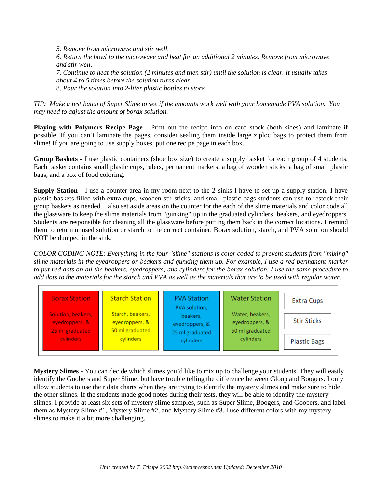*5. Remove from microwave and stir well.*

*6. Return the bowl to the microwave and heat for an additional 2 minutes. Remove from microwave and stir well.*

*7. Continue to heat the solution (2 minutes and then stir) until the solution is clear. It usually takes about 4 to 5 times before the solution turns clear.* 8. *Pour the solution into 2-liter plastic bottles to store.*

*TIP: Make a test batch of Super Slime to see if the amounts work well with your homemade PVA solution. You may need to adjust the amount of borax solution.* 

**Playing with Polymers Recipe Page -** Print out the recipe info on card stock (both sides) and laminate if possible. If you can't laminate the pages, consider sealing them inside large ziploc bags to protect them from slime! If you are going to use supply boxes, put one recipe page in each box.

**Group Baskets -** I use plastic containers (shoe box size) to create a supply basket for each group of 4 students. Each basket contains small plastic cups, rulers, permanent markers, a bag of wooden sticks, a bag of small plastic bags, and a box of food coloring.

**Supply Station -** I use a counter area in my room next to the 2 sinks I have to set up a supply station. I have plastic baskets filled with extra cups, wooden stir sticks, and small plastic bags students can use to restock their group baskets as needed. I also set aside areas on the counter for the each of the slime materials and color code all the glassware to keep the slime materials from "gunking" up in the graduated cylinders, beakers, and eyedroppers. Students are responsible for cleaning all the glassware before putting them back in the correct locations. I remind them to return unused solution or starch to the correct container. Borax solution, starch, and PVA solution should NOT be dumped in the sink.

*COLOR CODING NOTE: Everything in the four "slime" stations is color coded to prevent students from "mixing" slime materials in the eyedroppers or beakers and gunking them up. For example, I use a red permanent marker to put red dots on all the beakers, eyedroppers, and cylinders for the borax solution. I use the same procedure to add dots to the materials for the starch and PVA as well as the materials that are to be used with regular water.*



**Mystery Slimes -** You can decide which slimes you'd like to mix up to challenge your students. They will easily identify the Goobers and Super Slime, but have trouble telling the difference between Gloop and Boogers. I only allow students to use their data charts when they are trying to identify the mystery slimes and make sure to hide the other slimes. If the students made good notes during their tests, they will be able to identify the mystery slimes. I provide at least six sets of mystery slime samples, such as Super Slime, Boogers, and Goobers, and label them as Mystery Slime #1, Mystery Slime #2, and Mystery Slime #3. I use different colors with my mystery slimes to make it a bit more challenging.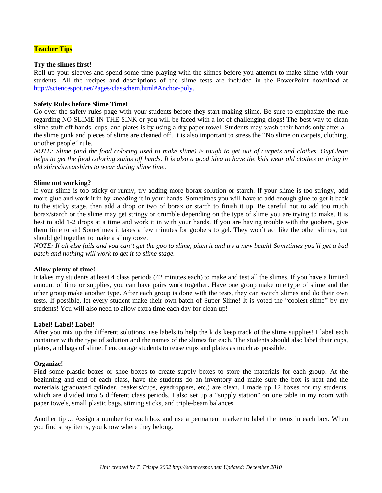#### **Teacher Tips**

#### **Try the slimes first!**

Roll up your sleeves and spend some time playing with the slimes before you attempt to make slime with your students. All the recipes and descriptions of the slime tests are included in the PowerPoint download at [http://sciencespot.net/Pages/classchem.html#Anchor-poly.](http://sciencespot.net/Pages/classchem.html%23Anchor-poly)

#### **Safety Rules before Slime Time!**

Go over the safety rules page with your students before they start making slime. Be sure to emphasize the rule regarding NO SLIME IN THE SINK or you will be faced with a lot of challenging clogs! The best way to clean slime stuff off hands, cups, and plates is by using a dry paper towel. Students may wash their hands only after all the slime gunk and pieces of slime are cleaned off. It is also important to stress the "No slime on carpets, clothing, or other people" rule.

*NOTE: Slime (and the food coloring used to make slime) is tough to get out of carpets and clothes. OxyClean helps to get the food coloring stains off hands. It is also a good idea to have the kids wear old clothes or bring in old shirts/sweatshirts to wear during slime time.*

#### **Slime not working?**

If your slime is too sticky or runny, try adding more borax solution or starch. If your slime is too stringy, add more glue and work it in by kneading it in your hands. Sometimes you will have to add enough glue to get it back to the sticky stage, then add a drop or two of borax or starch to finish it up. Be careful not to add too much borax/starch or the slime may get stringy or crumble depending on the type of slime you are trying to make. It is best to add 1-2 drops at a time and work it in with your hands. If you are having trouble with the goobers, give them time to sit! Sometimes it takes a few minutes for goobers to gel. They won't act like the other slimes, but should gel together to make a slimy ooze.

*NOTE: If all else fails and you can't get the goo to slime, pitch it and try a new batch! Sometimes you'll get a bad batch and nothing will work to get it to slime stage.*

#### **Allow plenty of time!**

It takes my students at least 4 class periods (42 minutes each) to make and test all the slimes. If you have a limited amount of time or supplies, you can have pairs work together. Have one group make one type of slime and the other group make another type. After each group is done with the tests, they can switch slimes and do their own tests. If possible, let every student make their own batch of Super Slime! It is voted the "coolest slime" by my students! You will also need to allow extra time each day for clean up!

#### **Label! Label! Label!**

After you mix up the different solutions, use labels to help the kids keep track of the slime supplies! I label each container with the type of solution and the names of the slimes for each. The students should also label their cups, plates, and bags of slime. I encourage students to reuse cups and plates as much as possible.

#### **Organize!**

Find some plastic boxes or shoe boxes to create supply boxes to store the materials for each group. At the beginning and end of each class, have the students do an inventory and make sure the box is neat and the materials (graduated cylinder, beakers/cups, eyedroppers, etc.) are clean. I made up 12 boxes for my students, which are divided into 5 different class periods. I also set up a "supply station" on one table in my room with paper towels, small plastic bags, stirring sticks, and triple-beam balances.

Another tip ... Assign a number for each box and use a permanent marker to label the items in each box. When you find stray items, you know where they belong.